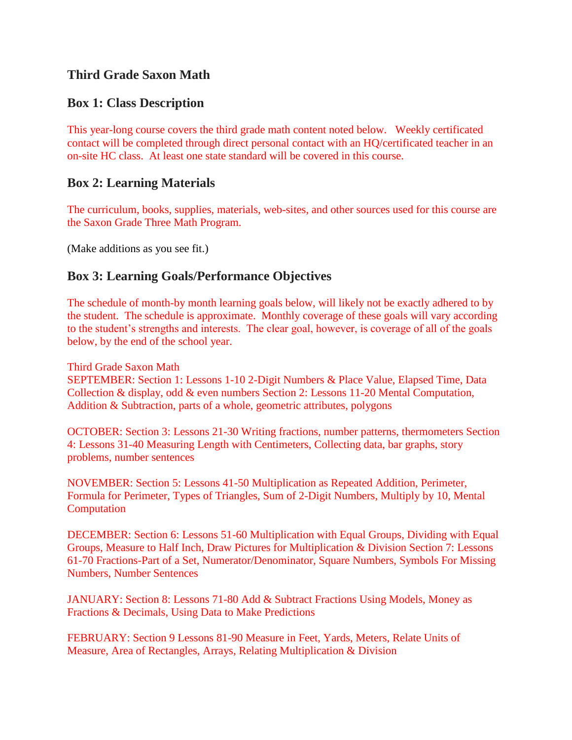# **Third Grade Saxon Math**

## **Box 1: Class Description**

This year-long course covers the third grade math content noted below. Weekly certificated contact will be completed through direct personal contact with an HQ/certificated teacher in an on-site HC class. At least one state standard will be covered in this course.

#### **Box 2: Learning Materials**

The curriculum, books, supplies, materials, web-sites, and other sources used for this course are the Saxon Grade Three Math Program.

(Make additions as you see fit.)

### **Box 3: Learning Goals/Performance Objectives**

The schedule of month-by month learning goals below, will likely not be exactly adhered to by the student. The schedule is approximate. Monthly coverage of these goals will vary according to the student's strengths and interests. The clear goal, however, is coverage of all of the goals below, by the end of the school year.

Third Grade Saxon Math

SEPTEMBER: Section 1: Lessons 1-10 2-Digit Numbers & Place Value, Elapsed Time, Data Collection & display, odd & even numbers Section 2: Lessons 11-20 Mental Computation, Addition & Subtraction, parts of a whole, geometric attributes, polygons

OCTOBER: Section 3: Lessons 21-30 Writing fractions, number patterns, thermometers Section 4: Lessons 31-40 Measuring Length with Centimeters, Collecting data, bar graphs, story problems, number sentences

NOVEMBER: Section 5: Lessons 41-50 Multiplication as Repeated Addition, Perimeter, Formula for Perimeter, Types of Triangles, Sum of 2-Digit Numbers, Multiply by 10, Mental Computation

DECEMBER: Section 6: Lessons 51-60 Multiplication with Equal Groups, Dividing with Equal Groups, Measure to Half Inch, Draw Pictures for Multiplication & Division Section 7: Lessons 61-70 Fractions-Part of a Set, Numerator/Denominator, Square Numbers, Symbols For Missing Numbers, Number Sentences

JANUARY: Section 8: Lessons 71-80 Add & Subtract Fractions Using Models, Money as Fractions & Decimals, Using Data to Make Predictions

FEBRUARY: Section 9 Lessons 81-90 Measure in Feet, Yards, Meters, Relate Units of Measure, Area of Rectangles, Arrays, Relating Multiplication & Division